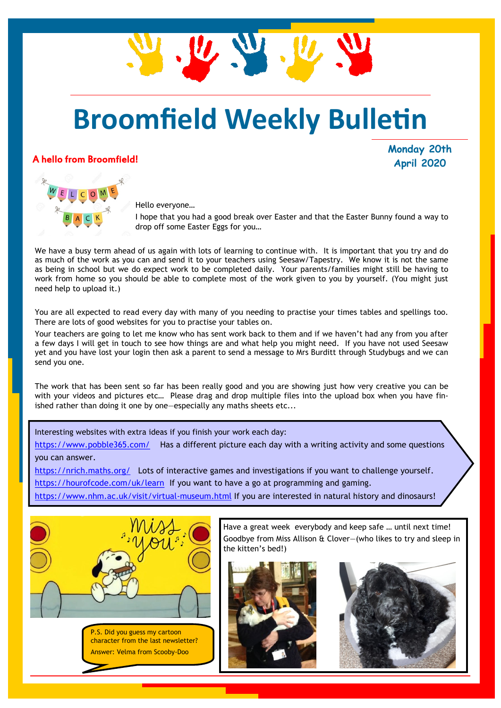## **Broomfield Weekly Bulletin**

U. W. W

#### A hello from Broomfield!

**Monday 20th April 2020**



Hello everyone…

I hope that you had a good break over Easter and that the Easter Bunny found a way to drop off some Easter Eggs for you…

We have a busy term ahead of us again with lots of learning to continue with. It is important that you try and do as much of the work as you can and send it to your teachers using Seesaw/Tapestry. We know it is not the same as being in school but we do expect work to be completed daily. Your parents/families might still be having to work from home so you should be able to complete most of the work given to you by yourself. (You might just need help to upload it.)

You are all expected to read every day with many of you needing to practise your times tables and spellings too. There are lots of good websites for you to practise your tables on.

Your teachers are going to let me know who has sent work back to them and if we haven't had any from you after a few days I will get in touch to see how things are and what help you might need. If you have not used Seesaw yet and you have lost your login then ask a parent to send a message to Mrs Burditt through Studybugs and we can send you one.

The work that has been sent so far has been really good and you are showing just how very creative you can be with your videos and pictures etc… Please drag and drop multiple files into the upload box when you have finished rather than doing it one by one—especially any maths sheets etc...

Interesting websites with extra ideas if you finish your work each day:

<https://www.pobble365.com/>Has a different picture each day with a writing activity and some questions you can answer.

<https://nrich.maths.org/>Lots of interactive games and investigations if you want to challenge yourself. <https://hourofcode.com/uk/learn>If you want to have a go at programming and gaming.

<https://www.nhm.ac.uk/visit/virtual-museum.html> If you are interested in natural history and dinosaurs!





Have a great week everybody and keep safe … until next time! Goodbye from Miss Allison & Clover—(who likes to try and sleep in the kitten's bed!)